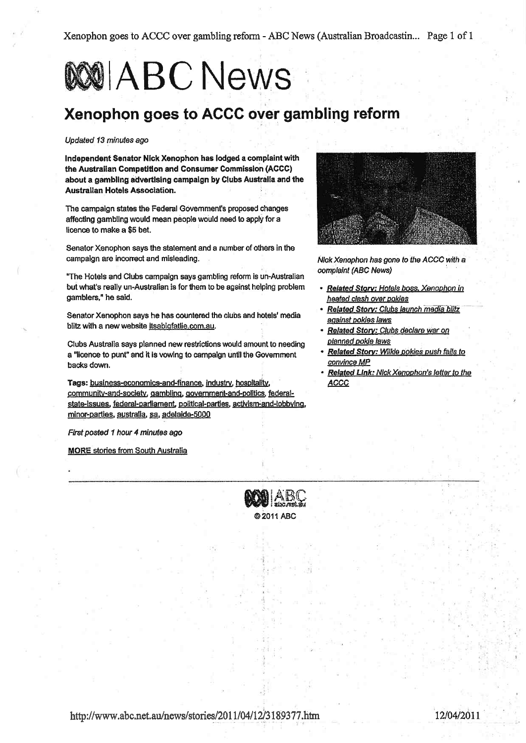Xenophon goes to ACCC over gambling reform - ABC News (Australian Broadcastin... Page 1 of 1

# **WO ABC News**

## Xenophon goes to ACCC over gambling reform

#### Updated 13 minutes ago

Independent Senator Nick Xenophon has lodged a complaint with the Australian Competition and Consumer Commission (ACCC) about a gambling advertising campaign by Clubs Australia and the Australian Hotels Association.

The campaign states the Federal Government's proposed changes affecting gambling would mean people would need to apply for a licence to make a \$5 bet.

Senator Xenophon says the statement and a number of others in the campaign are incorrect and misleading.

"The Hotels and Clubs campaign says gambling reform is un-Australian but what's really un-Australian is for them to be against helping problem gamblers," he said.

Senator Xenophon says he has countered the clubs and hotels' media blitz with a new website itsabigfatlie.com.au.

Clubs Australia says planned new restrictions would amount to needing a "licence to punt" and it is vowing to campaign until the Government backs down.

Tags: business-economics-and-finance, industry, hospitality, community-and-society, gambling, government-and-politics, federalstate-issues, federal-parliament, political-parties, activism-and-lobbying, minor-parties, australia, sa, adelaide-5000

First posted 1 hour 4 minutes ago

**MORE** stories from South Australia



Nick Xenophon has gone to the ACCC with a complaint (ABC News)

- Related Story: Hotels boss. Xenophon in heated clash over pokies
- Related Story: Clubs launch media blitz against pokies laws
- Related Story: Clubs declare war on planned pokie laws
- · Related Story: Wilkle pokies push fails to convince MP
- Related Link: Nick Xenophon's letter to the **ACCC**

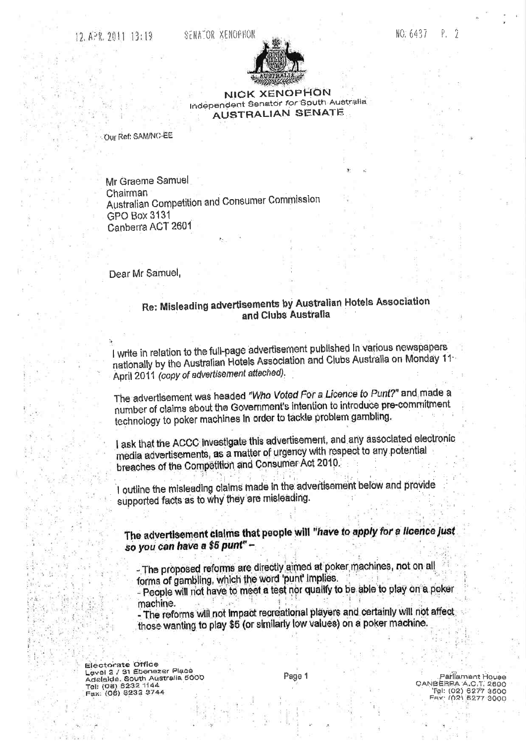

#### **NICK XENOPHON** Independent Senator for South Australia **AUSTRALIAN SENATE**

Our Ref: SAM/NC-EE

Mr Graeme Samuel Chairman Australian Competition and Consumer Commission **GPO Box 3131** Canberra ACT 2601

Dear Mr Samuel,

### Re: Misleading advertisements by Australian Hotels Association and Clubs Australia

I write in relation to the full-page advertisement published in various newspapers nationally by the Australian Hotels Association and Clubs Australia on Monday 11-April 2011 (copy of advertisement attached).

The advertisement was headed "Who Voted For a Licence to Punt?" and made a number of claims about the Government's intention to introduce pre-commitment technology to poker machines in order to tackle problem gambling.

I ask that the ACCC investigate this advertisement, and any associated electronic media advertisements, as a matter of urgency with respect to any potential breaches of the Competition and Consumer Act 2010.

I outline the misleading claims made in the advertisement below and provide supported facts as to why they are misleading.

The advertisement claims that people will "have to apply for a licence just so you can have a \$5 punt" -

- The proposed reforms are directly aimed at poker machines, not on all forms of gambling, which the word 'punt' implies.

- People will not have to meet a test nor qualify to be able to play on a poker machine.

- The reforms will not impact recreational players and certainly will not affect those wanting to play \$5 (or similarly low values) on a poker machine.

Electorate Office Level 2 / 31 Ebenezer Place Adelaide. South Australia 5000 Tel: (08) 8232 1144<br>Fax: (08) 8232 3744

Page 1

Parliament House DANBEREA A.C.T. 2800 Fax: (02) 6277 3000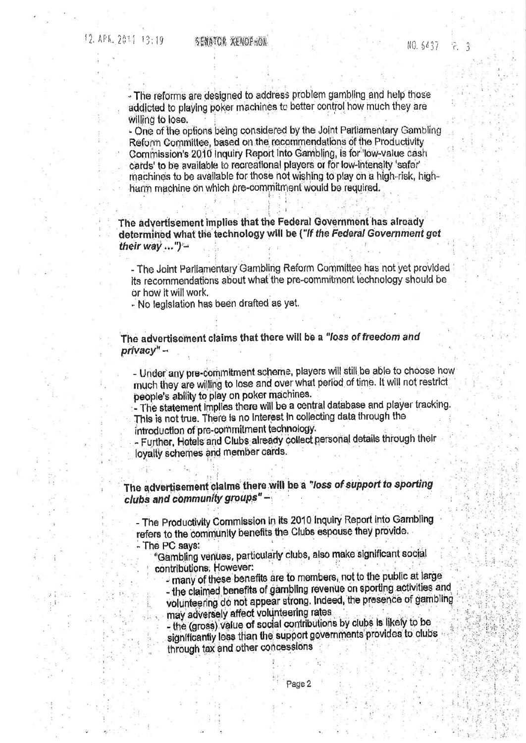- The reforms are designed to address problem gambling and help those addicted to playing poker machines to better control how much they are willing to lose.

- One of the options being considered by the Joint Parliamentary Gambling Reform Committee, based on the recommendations of the Productivity Commission's 2010 Inquiry Report into Gambling, is for 'low-value cash cards' to be available to recreational players or for low-intensity 'safer' machines to be available for those not wishing to play on a high-risk, highharm machine on which pre-commitment would be required.

The advertisement implies that the Federal Government has already determined what the technology will be ("If the Federal Government get their way ...")

- The Joint Parliamentary Gambling Reform Committee has not yet provided its recommendations about what the pre-commitment technology should be or how it will work.

- No legislation has been drafted as yet.

The advertisement claims that there will be a "loss of freedom and privacy" -

- Under any pre-commitment scheme, players will still be able to choose how much they are willing to lose and over what period of time. It will not restrict people's ability to play on poker machines.

- The statement implies there will be a central database and player tracking. This is not true. There is no interest in collecting data through the introduction of pre-commitment technology.

- Further, Hotels and Clubs already collect personal details through their loyalty schemes and member cards.

The advertisement claims there will be a "loss of support to sporting clubs and community groups"-

- The Productivity Commission in its 2010 Inquiry Report into Gambling refers to the community benefits the Clubs espouse they provide. - The PC says:

"Gambling venues, particularly clubs, also make significant social contributions, However:

- many of these benefits are to members, not to the public at large

- the claimed benefits of gambling revenue on sporting activities and volunteering do not appear strong. Indeed, the presence of gambling may adversely affect volunteering rates

- the (gross) value of social contributions by clubs is likely to be significantly less than the support governments provides to clubs through tax and other concessions

Page 2